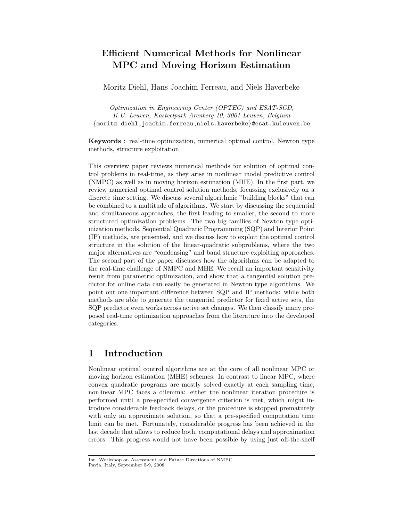# Efficient Numerical Methods for Nonlinear MPC and Moving Horizon Estimation

Moritz Diehl, Hans Joachim Ferreau, and Niels Haverbeke

Optimization in Engineering Center (OPTEC) and ESAT-SCD, K.U. Leuven, Kasteelpark Arenberg 10, 3001 Leuven, Belgium {moritz.diehl,joachim.ferreau,niels.haverbeke}@esat.kuleuven.be

Keywords : real-time optimization, numerical optimal control, Newton type methods, structure exploitation

This overview paper reviews numerical methods for solution of optimal control problems in real-time, as they arise in nonlinear model predictive control (NMPC) as well as in moving horizon estimation (MHE). In the first part, we review numerical optimal control solution methods, focussing exclusively on a discrete time setting. We discuss several algorithmic "building blocks" that can be combined to a multitude of algorithms. We start by discussing the sequential and simultaneous approaches, the first leading to smaller, the second to more structured optimization problems. The two big families of Newton type optimization methods, Sequential Quadratic Programming (SQP) and Interior Point (IP) methods, are presented, and we discuss how to exploit the optimal control structure in the solution of the linear-quadratic subproblems, where the two major alternatives are "condensing" and band structure exploiting approaches. The second part of the paper discusses how the algorithms can be adapted to the real-time challenge of NMPC and MHE. We recall an important sensitivity result from parametric optimization, and show that a tangential solution predictor for online data can easily be generated in Newton type algorithms. We point out one important difference between SQP and IP methods: while both methods are able to generate the tangential predictor for fixed active sets, the SQP predictor even works across active set changes. We then classify many proposed real-time optimization approaches from the literature into the developed categories.

### 1 Introduction

Nonlinear optimal control algorithms are at the core of all nonlinear MPC or moving horizon estimation (MHE) schemes. In contrast to linear MPC, where convex quadratic programs are mostly solved exactly at each sampling time, nonlinear MPC faces a dilemma: either the nonlinear iteration procedure is performed until a pre-specified convergence criterion is met, which might introduce considerable feedback delays, or the procedure is stopped prematurely with only an approximate solution, so that a pre-specified computation time limit can be met. Fortunately, considerable progress has been achieved in the last decade that allows to reduce both, computational delays and approximation errors. This progress would not have been possible by using just off-the-shelf

Int. Workshop on Assessment and Future Directions of NMPC Pavia, Italy, September 5-9, 2008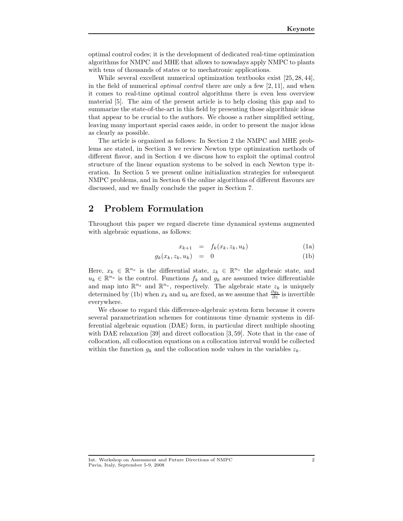optimal control codes; it is the development of dedicated real-time optimization algorithms for NMPC and MHE that allows to nowadays apply NMPC to plants with tens of thousands of states or to mechatronic applications.

While several excellent numerical optimization textbooks exist [25, 28, 44], in the field of numerical optimal control there are only a few [2, 11], and when it comes to real-time optimal control algorithms there is even less overview material [5]. The aim of the present article is to help closing this gap and to summarize the state-of-the-art in this field by presenting those algorithmic ideas that appear to be crucial to the authors. We choose a rather simplified setting, leaving many important special cases aside, in order to present the major ideas as clearly as possible.

The article is organized as follows: In Section 2 the NMPC and MHE problems are stated, in Section 3 we review Newton type optimization methods of different flavor, and in Section 4 we discuss how to exploit the optimal control structure of the linear equation systems to be solved in each Newton type iteration. In Section 5 we present online initialization strategies for subsequent NMPC problems, and in Section 6 the online algorithms of different flavours are discussed, and we finally conclude the paper in Section 7.

### 2 Problem Formulation

Throughout this paper we regard discrete time dynamical systems augmented with algebraic equations, as follows:

$$
x_{k+1} = f_k(x_k, z_k, u_k) \tag{1a}
$$

$$
g_k(x_k, z_k, u_k) = 0 \tag{1b}
$$

Here,  $x_k \in \mathbb{R}^{n_x}$  is the differential state,  $z_k \in \mathbb{R}^{n_z}$  the algebraic state, and  $u_k \in \mathbb{R}^{n_u}$  is the control. Functions  $f_k$  and  $g_k$  are assumed twice differentiable and map into  $\mathbb{R}^{n_x}$  and  $\mathbb{R}^{n_z}$ , respectively. The algebraic state  $z_k$  is uniquely determined by (1b) when  $x_k$  and  $u_k$  are fixed, as we assume that  $\frac{\partial g_k}{\partial z}$  is invertible everywhere.

We choose to regard this difference-algebraic system form because it covers several parametrization schemes for continuous time dynamic systems in differential algebraic equation (DAE) form, in particular direct multiple shooting with DAE relaxation [39] and direct collocation [3, 59]. Note that in the case of collocation, all collocation equations on a collocation interval would be collected within the function  $g_k$  and the collocation node values in the variables  $z_k$ .

Int. Workshop on Assessment and Future Directions of NMPC Pavia, Italy, September 5-9, 2008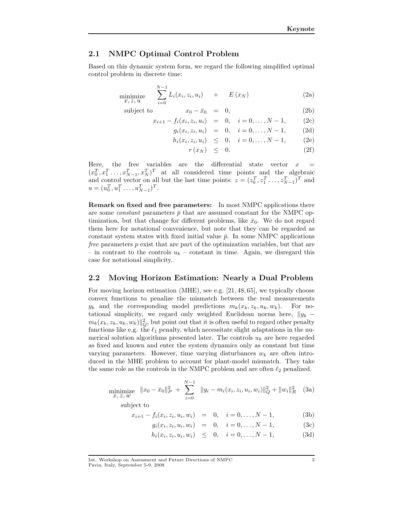#### 2.1 NMPC Optimal Control Problem

Based on this dynamic system form, we regard the following simplified optimal control problem in discrete time:

$$
\underset{x, z, u}{\text{minimize}} \quad \sum_{i=0}^{N-1} L_i(x_i, z_i, u_i) \quad + \quad E(x_N) \tag{2a}
$$

subject to 
$$
x_0 - \bar{x}_0 = 0,
$$
 (2b)

$$
x_{i+1} - f_i(x_i, z_i, u_i) = 0, \quad i = 0, \dots, N-1,
$$
 (2c)

$$
g_i(x_i, z_i, u_i) = 0, \quad i = 0, \dots, N - 1,
$$
 (2d)

$$
h_i(x_i, z_i, u_i) \leq 0, \quad i = 0, \dots, N - 1,
$$
 (2e)

$$
r(x_N) \leq 0. \tag{2f}
$$

Here, the free variables are the differential state vector  $x$  $(x_0^T, x_1^T, \ldots, x_{N-1}^T, x_N^T)^T$  at all considered time points and the algebraic and control vector on all but the last time points:  $z = (z_0^T, z_1^T, \ldots, z_{N-1}^T)^T$  and  $u = (u_0^T, u_1^T, \ldots, u_{N-1}^T)^T.$ 

Remark on fixed and free parameters: In most NMPC applications there are some *constant* parameters  $\bar{p}$  that are assumed constant for the NMPC optimization, but that change for different problems, like  $\bar{x}_0$ . We do not regard them here for notational convenience, but note that they can be regarded as constant system states with fixed initial value  $\bar{p}$ . In some NMPC applications free parameters p exist that are part of the optimization variables, but that are – in contrast to the controls  $u_k$  – constant in time. Again, we disregard this case for notational simplicity.

#### 2.2 Moving Horizon Estimation: Nearly a Dual Problem

For moving horizon estimation (MHE), see e.g. [21, 48, 65], we typically choose convex functions to penalize the mismatch between the real measurements  $y_k$  and the corresponding model predictions  $m_k(x_k, z_k, u_k, w_k)$ . For notational simplicity, we regard only weighted Euclidean norms here,  $||y_k$  $m_k(x_k, z_k, u_k, w_k) \|_{Q}^2$ , but point out that it is often useful to regard other penalty functions like e.g. the  $\ell_1$  penalty, which necessitate slight adaptations in the numerical solution algorithms presented later. The controls  $u_k$  are here regarded as fixed and known and enter the system dynamics only as constant but time varying parameters. However, time varying disturbances  $w_k$  are often introduced in the MHE problem to account for plant-model mismatch. They take the same role as the controls in the NMPC problem and are often  $\ell_2$  penalized.

minimize 
$$
||x_0 - \bar{x}_0||_P^2 + \sum_{i=0}^{N-1} ||y_i - m_i(x_i, z_i, u_i, w_i)||_Q^2 + ||w_i||_R^2
$$
 (3a)

subject to

$$
x_{i+1} - f_i(x_i, z_i, u_i, w_i) = 0, \quad i = 0, \dots, N-1,
$$
 (3b)

$$
g_i(x_i, z_i, u_i, w_i) = 0, \quad i = 0, \dots, N - 1,
$$
 (3c)

 $h_i(x_i, z_i, u_i, w_i) \leq 0, \quad i = 0, \dots, N-1,$  (3d)

Int. Workshop on Assessment and Future Directions of NMPC Pavia, Italy, September 5-9, 2008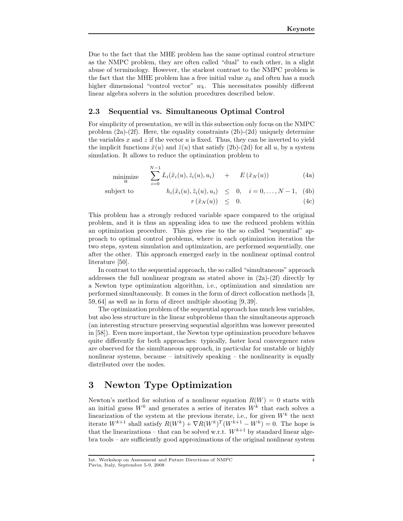Due to the fact that the MHE problem has the same optimal control structure as the NMPC problem, they are often called "dual" to each other, in a slight abuse of terminology. However, the starkest contrast to the NMPC problem is the fact that the MHE problem has a free initial value  $x_0$  and often has a much higher dimensional "control vector"  $w_k$ . This necessitates possibly different linear algebra solvers in the solution procedures described below.

#### 2.3 Sequential vs. Simultaneous Optimal Control

For simplicity of presentation, we will in this subsection only focus on the NMPC problem  $(2a)-(2f)$ . Here, the equality constraints  $(2b)-(2d)$  uniquely determine the variables  $x$  and  $z$  if the vector  $u$  is fixed. Thus, they can be inverted to yield the implicit functions  $\tilde{x}(u)$  and  $\tilde{z}(u)$  that satisfy (2b)-(2d) for all u, by a system simulation. It allows to reduce the optimization problem to

$$
\underset{u}{\text{minimize}} \quad \sum_{i=0}^{N-1} L_i(\tilde{x}_i(u), \tilde{z}_i(u), u_i) \quad + \quad E(\tilde{x}_N(u)) \tag{4a}
$$

subject to  $h_i(\tilde{x}_i(u), \tilde{z}_i(u), u_i) \leq 0, \quad i = 0, ..., N - 1,$  (4b)

 $r\left(\tilde{x}_N(u)\right) \leq 0.$  (4c)

This problem has a strongly reduced variable space compared to the original problem, and it is thus an appealing idea to use the reduced problem within an optimization procedure. This gives rise to the so called "sequential" approach to optimal control problems, where in each optimization iteration the two steps, system simulation and optimization, are performed sequentially, one after the other. This approach emerged early in the nonlinear optimal control literature [50].

In contrast to the sequential approach, the so called "simultaneous" approach addresses the full nonlinear program as stated above in  $(2a)-(2f)$  directly by a Newton type optimization algorithm, i.e., optimization and simulation are performed simultaneously. It comes in the form of direct collocation methods [3, 59, 64] as well as in form of direct multiple shooting [9, 39].

The optimization problem of the sequential approach has much less variables, but also less structure in the linear subproblems than the simultaneous approach (an interesting structure preserving sequential algorithm was however presented in [58]). Even more important, the Newton type optimization procedure behaves quite differently for both approaches: typically, faster local convergence rates are observed for the simultaneous approach, in particular for unstable or highly nonlinear systems, because – intuitively speaking – the nonlinearity is equally distributed over the nodes.

## 3 Newton Type Optimization

Newton's method for solution of a nonlinear equation  $R(W) = 0$  starts with an initial guess  $W^0$  and generates a series of iterates  $W^k$  that each solves a linearization of the system at the previous iterate, i.e., for given  $W^k$  the next iterate  $W^{k+1}$  shall satisfy  $R(W^k) + \nabla R(W^k)T(W^{k+1} - W^k) = 0$ . The hope is that the linearizations – that can be solved w.r.t.  $W^{k+1}$  by standard linear algebra tools – are sufficiently good approximations of the original nonlinear system

Int. Workshop on Assessment and Future Directions of NMPC Pavia, Italy, September 5-9, 2008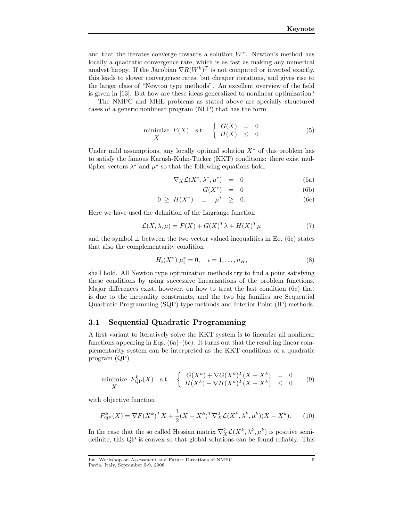and that the iterates converge towards a solution  $W^*$ . Newton's method has locally a quadratic convergence rate, which is as fast as making any numerical analyst happy. If the Jacobian  $\nabla R(W^k)^T$  is not computed or inverted exactly, this leads to slower convergence rates, but cheaper iterations, and gives rise to the larger class of "Newton type methods". An excellent overview of the field is given in [13]. But how are these ideas generalized to nonlinear optimization?

The NMPC and MHE problems as stated above are specially structured cases of a generic nonlinear program (NLP) that has the form

$$
\begin{array}{ll}\text{minimize} \ \ F(X) \quad \text{s.t.} \quad \left\{ \begin{array}{ll} G(X) & = & 0 \\ H(X) & \leq & 0 \end{array} \right. \end{array} \tag{5}
$$

Under mild assumptions, any locally optimal solution  $X^*$  of this problem has to satisfy the famous Karush-Kuhn-Tucker (KKT) conditions: there exist multiplier vectors  $\lambda^*$  and  $\mu^*$  so that the following equations hold:

$$
\nabla_X \mathcal{L}(X^*, \lambda^*, \mu^*) = 0 \tag{6a}
$$

$$
G(X^*) = 0 \tag{6b}
$$

$$
0 \geq H(X^*) \quad \perp \quad \mu^* \geq 0. \tag{6c}
$$

Here we have used the definition of the Lagrange function

$$
\mathcal{L}(X,\lambda,\mu) = F(X) + G(X)^T \lambda + H(X)^T \mu \tag{7}
$$

and the symbol  $\perp$  between the two vector valued inequalities in Eq. (6c) states that also the complementarity condition

$$
H_i(X^*) \mu_i^* = 0, \quad i = 1, \dots, n_H,
$$
\n(8)

shall hold. All Newton type optimization methods try to find a point satisfying these conditions by using successive linearizations of the problem functions. Major differences exist, however, on how to treat the last condition (6c) that is due to the inequality constraints, and the two big families are Sequential Quadratic Programming (SQP) type methods and Interior Point (IP) methods.

#### 3.1 Sequential Quadratic Programming

A first variant to iteratively solve the KKT system is to linearize all nonlinear functions appearing in Eqs.  $(6a)–(6c)$ . It turns out that the resulting linear complementarity system can be interpreted as the KKT conditions of a quadratic program (QP)

$$
\begin{array}{ll}\text{minimize} \ \ F_{\text{QP}}^k(X) \quad \text{s.t.} \quad \left\{ \begin{array}{lcl} G(X^k) + \nabla G(X^k)^T (X - X^k) & = & 0 \\ H(X^k) + \nabla H(X^k)^T (X - X^k) & \leq & 0 \end{array} \right. \end{array} \tag{9}
$$

with objective function

$$
F_{\rm QP}^k(X) = \nabla F(X^k)^T X + \frac{1}{2} (X - X^k)^T \nabla_X^2 \mathcal{L}(X^k, \lambda^k, \mu^k)(X - X^k).
$$
 (10)

In the case that the so called Hessian matrix  $\nabla_X^2 \mathcal{L}(X^k, \lambda^k, \mu^k)$  is positive semidefinite, this QP is convex so that global solutions can be found reliably. This

Int. Workshop on Assessment and Future Directions of NMPC Pavia, Italy, September 5-9, 2008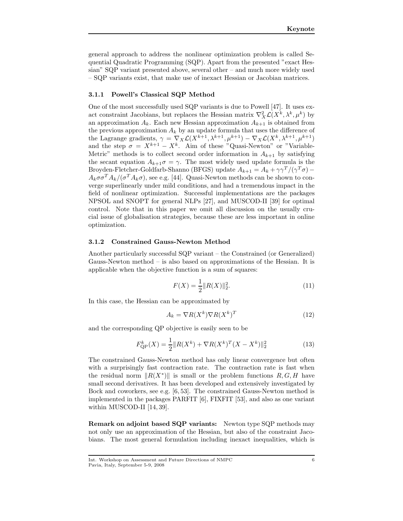general approach to address the nonlinear optimization problem is called Sequential Quadratic Programming (SQP). Apart from the presented "exact Hessian" SQP variant presented above, several other – and much more widely used – SQP variants exist, that make use of inexact Hessian or Jacobian matrices.

#### 3.1.1 Powell's Classical SQP Method

One of the most successfully used SQP variants is due to Powell [47]. It uses exact constraint Jacobians, but replaces the Hessian matrix  $\nabla_X^2 \mathcal{L}(X^k, \lambda^k, \mu^k)$  by an approximation  $A_k$ . Each new Hessian approximation  $A_{k+1}$  is obtained from the previous approximation  $A_k$  by an update formula that uses the difference of the Lagrange gradients,  $\gamma = \nabla_X \mathcal{L}(X^{k+1}, \lambda^{k+1}, \mu^{k+1}) - \nabla_X \mathcal{L}(X^k, \lambda^{k+1}, \mu^{k+1})$ and the step  $\sigma = X^{k+1} - X^k$ . Aim of these "Quasi-Newton" or "Variable-Metric" methods is to collect second order information in  $A_{k+1}$  by satisfying the secant equation  $A_{k+1}\sigma = \gamma$ . The most widely used update formula is the Broyden-Fletcher-Goldfarb-Shanno (BFGS) update  $A_{k+1} = A_k + \gamma \gamma^T/(\gamma^T \sigma)$  –  $A_k \sigma \sigma^T A_k/(\sigma^T A_k \sigma)$ , see e.g. [44]. Quasi-Newton methods can be shown to converge superlinearly under mild conditions, and had a tremendous impact in the field of nonlinear optimization. Successful implementations are the packages NPSOL and SNOPT for general NLPs [27], and MUSCOD-II [39] for optimal control. Note that in this paper we omit all discussion on the usually crucial issue of globalisation strategies, because these are less important in online optimization.

#### 3.1.2 Constrained Gauss-Newton Method

Another particularly successful SQP variant – the Constrained (or Generalized) Gauss-Newton method – is also based on approximations of the Hessian. It is applicable when the objective function is a sum of squares:

$$
F(X) = \frac{1}{2} ||R(X)||_2^2.
$$
 (11)

In this case, the Hessian can be approximated by

$$
A_k = \nabla R(X^k) \nabla R(X^k)^T \tag{12}
$$

and the corresponding QP objective is easily seen to be

$$
F_{\rm QP}^k(X) = \frac{1}{2} ||R(X^k) + \nabla R(X^k)^T (X - X^k)||_2^2
$$
\n(13)

The constrained Gauss-Newton method has only linear convergence but often with a surprisingly fast contraction rate. The contraction rate is fast when the residual norm  $||R(X^*)||$  is small or the problem functions  $R, G, H$  have small second derivatives. It has been developed and extensively investigated by Bock and coworkers, see e.g. [6, 53]. The constrained Gauss-Newton method is implemented in the packages PARFIT [6], FIXFIT [53], and also as one variant within MUSCOD-II [14, 39].

Remark on adjoint based SQP variants: Newton type SQP methods may not only use an approximation of the Hessian, but also of the constraint Jacobians. The most general formulation including inexact inequalities, which is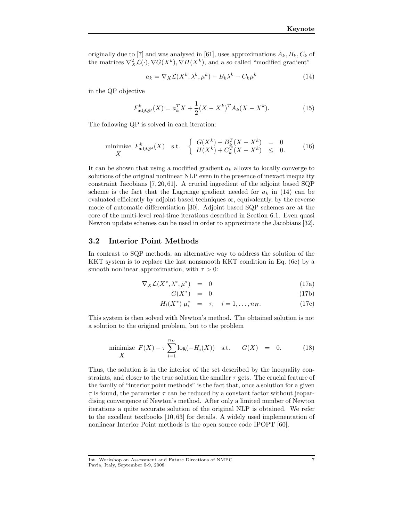originally due to [7] and was analysed in [61], uses approximations  $A_k, B_k, C_k$  of the matrices  $\nabla_X^2 \mathcal{L}(\cdot), \nabla G(X^k), \nabla H(X^k)$ , and a so called "modified gradient"

$$
a_k = \nabla_X \mathcal{L}(X^k, \lambda^k, \mu^k) - B_k \lambda^k - C_k \mu^k \tag{14}
$$

in the QP objective

$$
F_{\text{adjQP}}^k(X) = a_k^T X + \frac{1}{2} (X - X^k)^T A_k (X - X^k).
$$
 (15)

The following QP is solved in each iteration:

$$
\begin{array}{llll}\text{minimize} & F_{\text{adjQP}}^k(X) & \text{s.t.} \quad \left\{ \begin{array}{lcl} G(X^k) + B_k^T(X - X^k) & = & 0 \\ H(X^k) + C_k^T(X - X^k) & \leq & 0. \end{array} \right. \end{array} \tag{16}
$$

It can be shown that using a modified gradient  $a_k$  allows to locally converge to solutions of the original nonlinear NLP even in the presence of inexact inequality constraint Jacobians [7, 20, 61]. A crucial ingredient of the adjoint based SQP scheme is the fact that the Lagrange gradient needed for  $a_k$  in (14) can be evaluated efficiently by adjoint based techniques or, equivalently, by the reverse mode of automatic differentiation [30]. Adjoint based SQP schemes are at the core of the multi-level real-time iterations described in Section 6.1. Even quasi Newton update schemes can be used in order to approximate the Jacobians [32].

#### 3.2 Interior Point Methods

In contrast to SQP methods, an alternative way to address the solution of the KKT system is to replace the last nonsmooth KKT condition in Eq. (6c) by a smooth nonlinear approximation, with  $\tau > 0$ :

$$
\nabla_X \mathcal{L}(X^*, \lambda^*, \mu^*) = 0 \tag{17a}
$$

$$
G(X^*) = 0 \tag{17b}
$$

$$
H_i(X^*) \mu_i^* = \tau, \quad i = 1, \dots, n_H. \tag{17c}
$$

This system is then solved with Newton's method. The obtained solution is not a solution to the original problem, but to the problem

minimize 
$$
F(X) - \tau \sum_{i=1}^{n_H} \log(-H_i(X))
$$
 s.t.  $G(X) = 0.$  (18)

Thus, the solution is in the interior of the set described by the inequality constraints, and closer to the true solution the smaller  $\tau$  gets. The crucial feature of the family of "interior point methods" is the fact that, once a solution for a given  $\tau$  is found, the parameter  $\tau$  can be reduced by a constant factor without jeopardising convergence of Newton's method. After only a limited number of Newton iterations a quite accurate solution of the original NLP is obtained. We refer to the excellent textbooks [10, 63] for details. A widely used implementation of nonlinear Interior Point methods is the open source code IPOPT [60].

Int. Workshop on Assessment and Future Directions of NMPC Pavia, Italy, September 5-9, 2008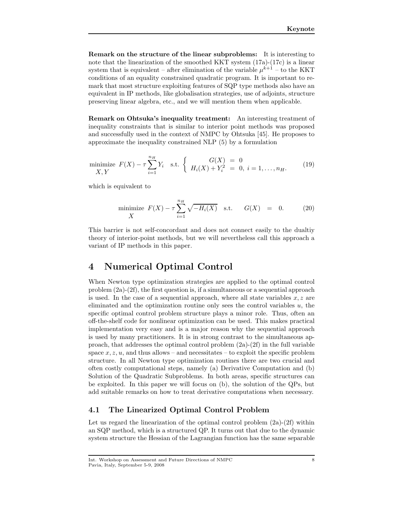Remark on the structure of the linear subproblems: It is interesting to note that the linearization of the smoothed KKT system (17a)-(17c) is a linear system that is equivalent – after elimination of the variable  $\mu^{k+1}$  – to the KKT conditions of an equality constrained quadratic program. It is important to remark that most structure exploiting features of SQP type methods also have an equivalent in IP methods, like globalisation strategies, use of adjoints, structure preserving linear algebra, etc., and we will mention them when applicable.

Remark on Ohtsuka's inequality treatment: An interesting treatment of inequality constraints that is similar to interior point methods was proposed and successfully used in the context of NMPC by Ohtsuka [45]. He proposes to approximate the inequality constrained NLP (5) by a formulation

minimize 
$$
F(X) - \tau \sum_{i=1}^{n_H} Y_i
$$
 s.t. 
$$
\begin{cases} G(X) = 0 \\ H_i(X) + Y_i^2 = 0, i = 1, ..., n_H. \end{cases}
$$
 (19)

which is equivalent to

minimize 
$$
F(X) - \tau \sum_{i=1}^{n_H} \sqrt{-H_i(X)}
$$
 s.t.  $G(X) = 0.$  (20)

This barrier is not self-concordant and does not connect easily to the dualtiy theory of interior-point methods, but we will nevertheless call this approach a variant of IP methods in this paper.

## 4 Numerical Optimal Control

When Newton type optimization strategies are applied to the optimal control problem  $(2a)-(2f)$ , the first question is, if a simultaneous or a sequential approach is used. In the case of a sequential approach, where all state variables  $x, z$  are eliminated and the optimization routine only sees the control variables  $u$ , the specific optimal control problem structure plays a minor role. Thus, often an off-the-shelf code for nonlinear optimization can be used. This makes practical implementation very easy and is a major reason why the sequential approach is used by many practitioners. It is in strong contrast to the simultaneous approach, that addresses the optimal control problem  $(2a)-(2f)$  in the full variable space  $x, z, u$ , and thus allows – and necessitates – to exploit the specific problem structure. In all Newton type optimization routines there are two crucial and often costly computational steps, namely (a) Derivative Computation and (b) Solution of the Quadratic Subproblems. In both areas, specific structures can be exploited. In this paper we will focus on (b), the solution of the QPs, but add suitable remarks on how to treat derivative computations when necessary.

### 4.1 The Linearized Optimal Control Problem

Let us regard the linearization of the optimal control problem (2a)-(2f) within an SQP method, which is a structured QP. It turns out that due to the dynamic system structure the Hessian of the Lagrangian function has the same separable

Int. Workshop on Assessment and Future Directions of NMPC Pavia, Italy, September 5-9, 2008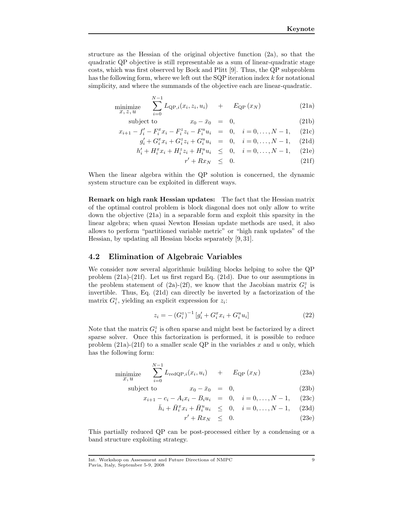structure as the Hessian of the original objective function (2a), so that the quadratic QP objective is still representable as a sum of linear-quadratic stage costs, which was first observed by Bock and Plitt [9]. Thus, the QP subproblem has the following form, where we left out the SQP iteration index  $k$  for notational simplicity, and where the summands of the objective each are linear-quadratic.

$$
\underset{x, z, u}{\text{minimize}} \quad \sum_{i=0}^{N-1} L_{\text{QP},i}(x_i, z_i, u_i) + E_{\text{QP}}(x_N) \tag{21a}
$$

subject to 
$$
x_0 - \bar{x}_0 = 0,
$$
 (21b)

$$
x_{i+1} - f'_i - F_i^x x_i - F_i^z z_i - F_i^u u_i = 0, \quad i = 0, \dots, N - 1, \quad (21c)
$$

$$
g'_i + G_i^x x_i + G_i^z z_i + G_i^u u_i = 0, \quad i = 0, ..., N - 1,
$$
 (21d)  

$$
h'_i + H^x x_i + H^z z_i + H^u u_i \leq 0, \quad i = 0, N - 1
$$
 (21e)

$$
h'_{i} + H_{i}^{x} x_{i} + H_{i}^{z} z_{i} + H_{i}^{u} u_{i} \leq 0, \quad i = 0, ..., N - 1, \quad (21e)
$$
  

$$
r' + Rx_{N} \leq 0. \quad (21f)
$$

When the linear algebra within the QP solution is concerned, the dynamic system structure can be exploited in different ways.

Remark on high rank Hessian updates: The fact that the Hessian matrix of the optimal control problem is block diagonal does not only allow to write down the objective (21a) in a separable form and exploit this sparsity in the linear algebra; when quasi Newton Hessian update methods are used, it also allows to perform "partitioned variable metric" or "high rank updates" of the Hessian, by updating all Hessian blocks separately [9, 31].

### 4.2 Elimination of Algebraic Variables

We consider now several algorithmic building blocks helping to solve the QP problem (21a)-(21f). Let us first regard Eq. (21d). Due to our assumptions in the problem statement of (2a)-(2f), we know that the Jacobian matrix  $G_i^z$  is invertible. Thus, Eq. (21d) can directly be inverted by a factorization of the matrix  $G_i^z$ , yielding an explicit expression for  $z_i$ :

$$
z_i = -\left(G_i^z\right)^{-1} \left[g_i' + G_i^x x_i + G_i^u u_i\right]
$$
\n(22)

Note that the matrix  $G_i^z$  is often sparse and might best be factorized by a direct sparse solver. Once this factorization is performed, it is possible to reduce problem  $(21a)-(21f)$  to a smaller scale QP in the variables x and u only, which has the following form:

$$
\underset{x, u}{\text{minimize}} \quad \sum_{i=0}^{N-1} L_{\text{redQP}, i}(x_i, u_i) + E_{\text{QP}}(x_N) \tag{23a}
$$

subject to  $x_0 - \bar{x}_0 = 0,$  (23b)

$$
x_{i+1} - c_i - A_i x_i - B_i u_i = 0, \quad i = 0, \dots, N - 1, \quad (23c)
$$

$$
\bar{h}_i + \bar{H}_i^x x_i + \bar{H}_i^u u_i \leq 0, \quad i = 0, \dots, N - 1, \quad (23d)
$$

$$
r' + Rx_N \leq 0. \tag{23e}
$$

This partially reduced QP can be post-processed either by a condensing or a band structure exploiting strategy.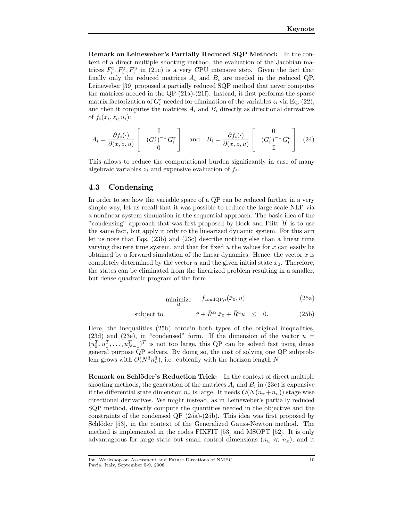Remark on Leineweber's Partially Reduced SQP Method: In the context of a direct multiple shooting method, the evaluation of the Jacobian matrices  $F_i^x, F_i^z, F_i^u$  in (21c) is a very CPU intensive step. Given the fact that finally only the reduced matrices  $A_i$  and  $B_i$  are needed in the reduced QP, Leineweber [39] proposed a partially reduced SQP method that never computes the matrices needed in the QP (21a)-(21f). Instead, it first performs the sparse matrix factorization of  $G_i^z$  needed for elimination of the variables  $z_i$  via Eq. (22), and then it computes the matrices  $A_i$  and  $B_i$  directly as directional derivatives of  $f_i(x_i, z_i, u_i)$ :

$$
A_i = \frac{\partial f_i(\cdot)}{\partial(x, z, u)} \left[ -\left( G_i^z \right)^{-1} G_i^x \right] \quad \text{and} \quad B_i = \frac{\partial f_i(\cdot)}{\partial(x, z, u)} \left[ -\left( G_i^z \right)^{-1} G_i^u \right]. \tag{24}
$$

This allows to reduce the computational burden significantly in case of many algebraic variables  $z_i$  and expensive evaluation of  $f_i$ .

#### 4.3 Condensing

In order to see how the variable space of a QP can be reduced further in a very simple way, let us recall that it was possible to reduce the large scale NLP via a nonlinear system simulation in the sequential approach. The basic idea of the "condensing" approach that was first proposed by Bock and Plitt [9] is to use the same fact, but apply it only to the linearized dynamic system. For this aim let us note that Eqs. (23b) and (23c) describe nothing else than a linear time varying discrete time system, and that for fixed  $u$  the values for  $x$  can easily be obtained by a forward simulation of the linear dynamics. Hence, the vector  $x$  is completely determined by the vector u and the given initial state  $\bar{x}_0$ . Therefore, the states can be eliminated from the linearized problem resulting in a smaller, but dense quadratic program of the form

$$
\underset{u}{\text{minimize}} \quad f_{\text{condQP},i}(\bar{x}_0, u) \tag{25a}
$$

subject to 
$$
\bar{r} + \bar{R}^{x_0}\bar{x}_0 + \bar{R}^u u \leq 0. \qquad (25b)
$$

Here, the inequalities (25b) contain both types of the original inequalities, (23d) and (23e), in "condensed" form. If the dimension of the vector  $u =$  $(u_0^T, u_1^T, \ldots, u_{N-1}^T)^T$  is not too large, this QP can be solved fast using dense general purpose  $QP$  solvers. By doing so, the cost of solving one  $QP$  subproblem grows with  $O(N^3 n_u^3)$ , i.e. cubically with the horizon length N.

Remark on Schlöder's Reduction Trick: In the context of direct multiple shooting methods, the generation of the matrices  $A_i$  and  $B_i$  in (23c) is expensive if the differential state dimension  $n_x$  is large. It needs  $O(N(n_x + n_u))$  stage wise directional derivatives. We might instead, as in Leineweber's partially reduced SQP method, directly compute the quantities needed in the objective and the constraints of the condensed QP (25a)-(25b). This idea was first proposed by Schlöder [53], in the context of the Generalized Gauss-Newton method. The method is implemented in the codes FIXFIT [53] and MSOPT [52]. It is only advantageous for large state but small control dimensions  $(n_u \ll n_x)$ , and it

Int. Workshop on Assessment and Future Directions of NMPC Pavia, Italy, September 5-9, 2008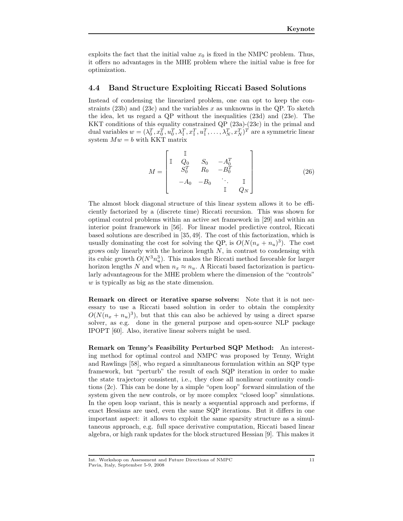exploits the fact that the initial value  $x_0$  is fixed in the NMPC problem. Thus, it offers no advantages in the MHE problem where the initial value is free for optimization.

#### 4.4 Band Structure Exploiting Riccati Based Solutions

Instead of condensing the linearized problem, one can opt to keep the constraints (23b) and (23c) and the variables x as unknowns in the QP. To sketch the idea, let us regard a QP without the inequalities (23d) and (23e). The KKT conditions of this equality constrained QP (23a)-(23c) in the primal and dual variables  $w = (\lambda_0^T, x_0^T, u_0^T, \lambda_1^T, x_1^T, u_1^T, \dots, \lambda_N^T, x_N^T)^T$  are a symmetric linear system  $Mw = b$  with KKT matrix

$$
M = \begin{bmatrix} \mathbb{I} & & & \\ \mathbb{I} & Q_0 & S_0 & -A_0^T \\ & S_0^T & R_0 & -B_0^T \\ & -A_0 & -B_0 & \ddots & \\ & & \mathbb{I} & Q_N \end{bmatrix} \tag{26}
$$

The almost block diagonal structure of this linear system allows it to be efficiently factorized by a (discrete time) Riccati recursion. This was shown for optimal control problems within an active set framework in [29] and within an interior point framework in [56]. For linear model predictive control, Riccati based solutions are described in [35, 49]. The cost of this factorization, which is usually dominating the cost for solving the QP, is  $O(N(n_x + n_u)^3)$ . The cost grows only linearly with the horizon length  $N$ , in contrast to condensing with its cubic growth  $O(N^3 n_u^3)$ . This makes the Riccati method favorable for larger horizon lengths N and when  $n_x \approx n_u$ . A Riccati based factorization is particularly advantageous for the MHE problem where the dimension of the "controls" w is typically as big as the state dimension.

Remark on direct or iterative sparse solvers: Note that it is not necessary to use a Riccati based solution in order to obtain the complexity  $O(N(n_x + n_u)^3)$ , but that this can also be achieved by using a direct sparse solver, as e.g. done in the general purpose and open-source NLP package IPOPT [60]. Also, iterative linear solvers might be used.

Remark on Tenny's Feasibility Perturbed SQP Method: An interesting method for optimal control and NMPC was proposed by Tenny, Wright and Rawlings [58], who regard a simultaneous formulation within an SQP type framework, but "perturb" the result of each SQP iteration in order to make the state trajectory consistent, i.e., they close all nonlinear continuity conditions (2c). This can be done by a simple "open loop" forward simulation of the system given the new controls, or by more complex "closed loop" simulations. In the open loop variant, this is nearly a sequential approach and performs, if exact Hessians are used, even the same SQP iterations. But it differs in one important aspect: it allows to exploit the same sparsity structure as a simultaneous approach, e.g. full space derivative computation, Riccati based linear algebra, or high rank updates for the block structured Hessian [9]. This makes it

Int. Workshop on Assessment and Future Directions of NMPC Pavia, Italy, September 5-9, 2008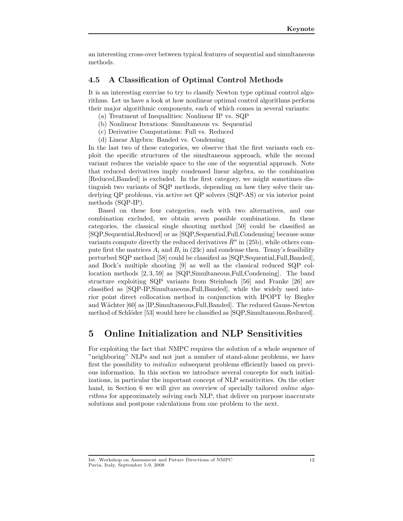an interesting cross-over between typical features of sequential and simultaneous methods.

### 4.5 A Classification of Optimal Control Methods

It is an interesting exercise to try to classify Newton type optimal control algorithms. Let us have a look at how nonlinear optimal control algorithms perform their major algorithmic components, each of which comes in several variants:

- (a) Treatment of Inequalities: Nonlinear IP vs. SQP
- (b) Nonlinear Iterations: Simultaneous vs. Sequential
- (c) Derivative Computations: Full vs. Reduced
- (d) Linear Algebra: Banded vs. Condensing

In the last two of these categories, we observe that the first variants each exploit the specific structures of the simultaneous approach, while the second variant reduces the variable space to the one of the sequential approach. Note that reduced derivatives imply condensed linear algebra, so the combination [Reduced,Banded] is excluded. In the first category, we might sometimes distinguish two variants of SQP methods, depending on how they solve their underlying QP problems, via active set QP solvers (SQP-AS) or via interior point methods (SQP-IP).

Based on these four categories, each with two alternatives, and one combination excluded, we obtain seven possible combinations. In these categories, the classical single shooting method [50] could be classified as [SQP,Sequential,Reduced] or as [SQP,Sequential,Full,Condensing] because some variants compute directly the reduced derivatives  $\bar{R}^u$  in (25b), while others compute first the matrices  $A_i$  and  $B_i$  in (23c) and condense then. Tenny's feasibility perturbed SQP method [58] could be classified as [SQP,Sequential,Full,Banded], and Bock's multiple shooting [9] as well as the classical reduced SQP collocation methods [2, 3, 59] as [SQP,Simultaneous,Full,Condensing]. The band structure exploiting SQP variants from Steinbach [56] and Franke [26] are classified as [SQP-IP,Simultaneous,Full,Banded], while the widely used interior point direct collocation method in conjunction with IPOPT by Biegler and Wächter [60] as [IP, Simultaneous, Full, Banded]. The reduced Gauss-Newton method of Schlöder [53] would here be classified as [SQP, Simultaneous, Reduced].

### 5 Online Initialization and NLP Sensitivities

For exploiting the fact that NMPC requires the solution of a whole sequence of "neighboring" NLPs and not just a number of stand-alone problems, we have first the possibility to initialize subsequent problems efficiently based on previous information. In this section we introduce several concepts for such initializations, in particular the important concept of NLP sensitivities. On the other hand, in Section 6 we will give an overview of specially tailored *online algo*rithms for approximately solving each NLP, that deliver on purpose inaccurate solutions and postpone calculations from one problem to the next.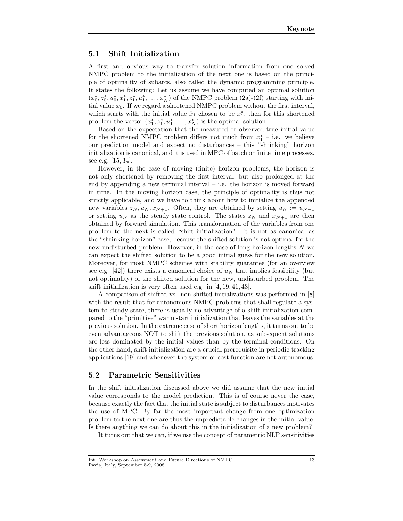#### 5.1 Shift Initialization

A first and obvious way to transfer solution information from one solved NMPC problem to the initialization of the next one is based on the principle of optimality of subarcs, also called the dynamic programming principle. It states the following: Let us assume we have computed an optimal solution  $(x_0^*, z_0^*, u_0^*, x_1^*, z_1^*, u_1^*, \ldots, x_N^*)$  of the NMPC problem (2a)-(2f) starting with initial value  $\bar{x}_0$ . If we regard a shortened NMPC problem without the first interval, which starts with the initial value  $\bar{x}_1$  chosen to be  $x_1^*$ , then for this shortened problem the vector  $(x_1^*, z_1^*, u_1^*, \ldots, x_N^*)$  is the optimal solution.

Based on the expectation that the measured or observed true initial value for the shortened NMPC problem differs not much from  $x_1^*$  – i.e. we believe our prediction model and expect no disturbances – this "shrinking" horizon initialization is canonical, and it is used in MPC of batch or finite time processes, see e.g. [15, 34].

However, in the case of moving (finite) horizon problems, the horizon is not only shortened by removing the first interval, but also prolonged at the end by appending a new terminal interval – i.e. the horizon is moved forward in time. In the moving horizon case, the principle of optimality is thus not strictly applicable, and we have to think about how to initialize the appended new variables  $z_N, u_N, x_{N+1}$ . Often, they are obtained by setting  $u_N := u_{N-1}$ or setting  $u_N$  as the steady state control. The states  $z_N$  and  $x_{N+1}$  are then obtained by forward simulation. This transformation of the variables from one problem to the next is called "shift initialization". It is not as canonical as the "shrinking horizon" case, because the shifted solution is not optimal for the new undisturbed problem. However, in the case of long horizon lengths  $N$  we can expect the shifted solution to be a good initial guess for the new solution. Moreover, for most NMPC schemes with stability guarantee (for an overview see e.g. [42]) there exists a canonical choice of  $u<sub>N</sub>$  that implies feasibility (but not optimality) of the shifted solution for the new, undisturbed problem. The shift initialization is very often used e.g. in [4, 19, 41, 43].

A comparison of shifted vs. non-shifted initializations was performed in [8] with the result that for autonomous NMPC problems that shall regulate a system to steady state, there is usually no advantage of a shift initialization compared to the "primitive" warm start initialization that leaves the variables at the previous solution. In the extreme case of short horizon lengths, it turns out to be even advantageous NOT to shift the previous solution, as subsequent solutions are less dominated by the initial values than by the terminal conditions. On the other hand, shift initialization are a crucial prerequisite in periodic tracking applications [19] and whenever the system or cost function are not autonomous.

#### 5.2 Parametric Sensitivities

In the shift initialization discussed above we did assume that the new initial value corresponds to the model prediction. This is of course never the case, because exactly the fact that the initial state is subject to disturbances motivates the use of MPC. By far the most important change from one optimization problem to the next one are thus the unpredictable changes in the initial value. Is there anything we can do about this in the initialization of a new problem?

It turns out that we can, if we use the concept of parametric NLP sensitivities

Int. Workshop on Assessment and Future Directions of NMPC Pavia, Italy, September 5-9, 2008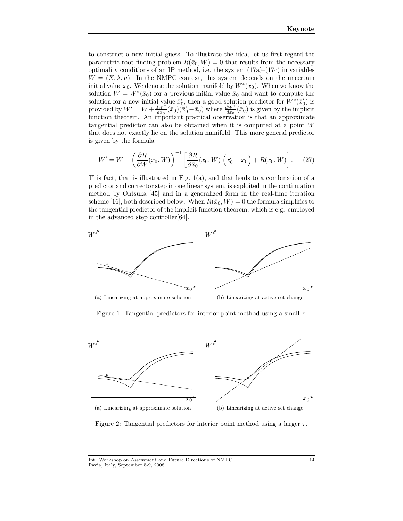to construct a new initial guess. To illustrate the idea, let us first regard the parametric root finding problem  $R(\bar{x}_0, W) = 0$  that results from the necessary optimality conditions of an IP method, i.e. the system  $(17a)$ – $(17c)$  in variables  $W = (X, \lambda, \mu)$ . In the NMPC context, this system depends on the uncertain initial value  $\bar{x}_0$ . We denote the solution manifold by  $W^*(\bar{x}_0)$ . When we know the solution  $W = W^*(\bar{x}_0)$  for a previous initial value  $\bar{x}_0$  and want to compute the solution for a new initial value  $\bar{x}'_0$ , then a good solution predictor for  $\hat{W}^*(\bar{x}'_0)$  is provided by  $W' = W + \frac{dW^*}{d\bar{x}_0}(\bar{x}_0)(\bar{x}'_0 - \bar{x}_0)$  where  $\frac{dW^*}{d\bar{x}_0}(\bar{x}_0)$  is given by the implicit function theorem. An important practical observation is that an approximate tangential predictor can also be obtained when it is computed at a point W that does not exactly lie on the solution manifold. This more general predictor is given by the formula

$$
W' = W - \left(\frac{\partial R}{\partial W}(\bar{x}_0, W)\right)^{-1} \left[\frac{\partial R}{\partial \bar{x}_0}(\bar{x}_0, W) \left(\bar{x}'_0 - \bar{x}_0\right) + R(\bar{x}_0, W)\right].
$$
 (27)

This fact, that is illustrated in Fig.  $1(a)$ , and that leads to a combination of a predictor and corrector step in one linear system, is exploited in the continuation method by Ohtsuka [45] and in a generalized form in the real-time iteration scheme [16], both described below. When  $R(\bar{x}_0, W) = 0$  the formula simplifies to the tangential predictor of the implicit function theorem, which is e.g. employed in the advanced step controller[64].



Figure 1: Tangential predictors for interior point method using a small  $\tau$ .



Figure 2: Tangential predictors for interior point method using a larger  $\tau$ .

Int. Workshop on Assessment and Future Directions of NMPC Pavia, Italy, September 5-9, 2008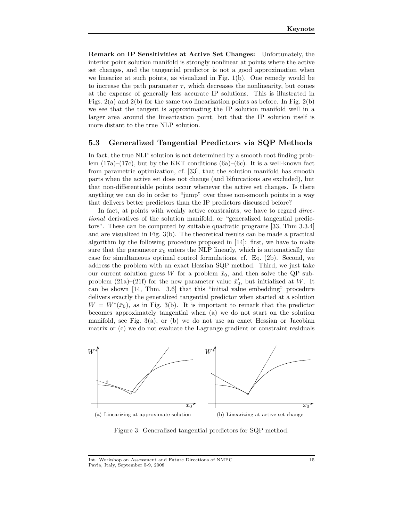Remark on IP Sensitivities at Active Set Changes: Unfortunately, the interior point solution manifold is strongly nonlinear at points where the active set changes, and the tangential predictor is not a good approximation when we linearize at such points, as visualized in Fig. 1(b). One remedy would be to increase the path parameter  $\tau$ , which decreases the nonlinearity, but comes at the expense of generally less accurate IP solutions. This is illustrated in Figs.  $2(a)$  and  $2(b)$  for the same two linearization points as before. In Fig.  $2(b)$ we see that the tangent is approximating the IP solution manifold well in a larger area around the linearization point, but that the IP solution itself is more distant to the true NLP solution.

#### 5.3 Generalized Tangential Predictors via SQP Methods

In fact, the true NLP solution is not determined by a smooth root finding problem  $(17a)$ – $(17c)$ , but by the KKT conditions  $(6a)$ – $(6c)$ . It is a well-known fact from parametric optimization, cf. [33], that the solution manifold has smooth parts when the active set does not change (and bifurcations are excluded), but that non-differentiable points occur whenever the active set changes. Is there anything we can do in order to "jump" over these non-smooth points in a way that delivers better predictors than the IP predictors discussed before?

In fact, at points with weakly active constraints, we have to regard *direc*tional derivatives of the solution manifold, or "generalized tangential predictors". These can be computed by suitable quadratic programs [33, Thm 3.3.4] and are visualized in Fig. 3(b). The theoretical results can be made a practical algorithm by the following procedure proposed in [14]: first, we have to make sure that the parameter  $\bar{x}_0$  enters the NLP linearly, which is automatically the case for simultaneous optimal control formulations, cf. Eq. (2b). Second, we address the problem with an exact Hessian SQP method. Third, we just take our current solution guess W for a problem  $\bar{x}_0$ , and then solve the QP subproblem (21a)–(21f) for the new parameter value  $\bar{x}'_0$ , but initialized at W. It can be shown [14, Thm. 3.6] that this "initial value embedding" procedure delivers exactly the generalized tangential predictor when started at a solution  $W = W^*(\bar{x}_0)$ , as in Fig. 3(b). It is important to remark that the predictor becomes approximately tangential when (a) we do not start on the solution manifold, see Fig.  $3(a)$ , or (b) we do not use an exact Hessian or Jacobian matrix or (c) we do not evaluate the Lagrange gradient or constraint residuals



Figure 3: Generalized tangential predictors for SQP method.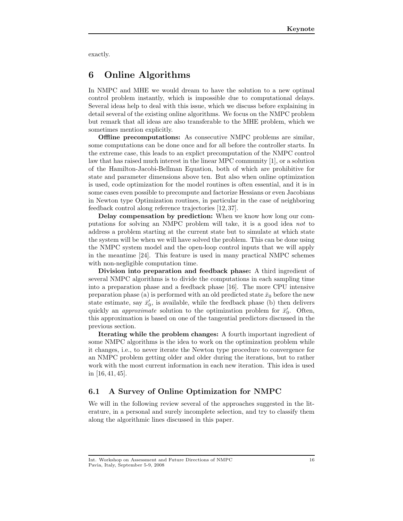exactly.

## 6 Online Algorithms

In NMPC and MHE we would dream to have the solution to a new optimal control problem instantly, which is impossible due to computational delays. Several ideas help to deal with this issue, which we discuss before explaining in detail several of the existing online algorithms. We focus on the NMPC problem but remark that all ideas are also transferable to the MHE problem, which we sometimes mention explicitly.

Offline precomputations: As consecutive NMPC problems are similar, some computations can be done once and for all before the controller starts. In the extreme case, this leads to an explict precomputation of the NMPC control law that has raised much interest in the linear MPC community [1], or a solution of the Hamilton-Jacobi-Bellman Equation, both of which are prohibitive for state and parameter dimensions above ten. But also when online optimization is used, code optimization for the model routines is often essential, and it is in some cases even possible to precompute and factorize Hessians or even Jacobians in Newton type Optimization routines, in particular in the case of neighboring feedback control along reference trajectories [12, 37].

Delay compensation by prediction: When we know how long our computations for solving an NMPC problem will take, it is a good idea not to address a problem starting at the current state but to simulate at which state the system will be when we will have solved the problem. This can be done using the NMPC system model and the open-loop control inputs that we will apply in the meantime [24]. This feature is used in many practical NMPC schemes with non-negligible computation time.

Division into preparation and feedback phase: A third ingredient of several NMPC algorithms is to divide the computations in each sampling time into a preparation phase and a feedback phase [16]. The more CPU intensive preparation phase (a) is performed with an old predicted state  $\bar{x}_0$  before the new state estimate, say  $\bar{x}'_0$ , is available, while the feedback phase (b) then delivers quickly an *approximate* solution to the optimization problem for  $\bar{x}'_0$ . Often, this approximation is based on one of the tangential predictors discussed in the previous section.

Iterating while the problem changes: A fourth important ingredient of some NMPC algorithms is the idea to work on the optimization problem while it changes, i.e., to never iterate the Newton type procedure to convergence for an NMPC problem getting older and older during the iterations, but to rather work with the most current information in each new iteration. This idea is used in [16, 41, 45].

### 6.1 A Survey of Online Optimization for NMPC

We will in the following review several of the approaches suggested in the literature, in a personal and surely incomplete selection, and try to classify them along the algorithmic lines discussed in this paper.

Int. Workshop on Assessment and Future Directions of NMPC Pavia, Italy, September 5-9, 2008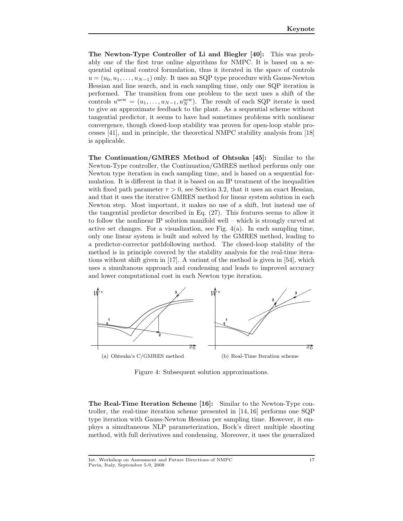The Newton-Type Controller of Li and Biegler [40]: This was probably one of the first true online algorithms for NMPC. It is based on a sequential optimal control formulation, thus it iterated in the space of controls  $u = (u_0, u_1, \ldots, u_{N-1})$  only. It uses an SQP type procedure with Gauss-Newton Hessian and line search, and in each sampling time, only one SQP iteration is performed. The transition from one problem to the next uses a shift of the controls  $u^{\text{new}} = (u_1, \dots, u_{N-1}, u_N^{\text{new}})$ . The result of each SQP iterate is used to give an approximate feedback to the plant. As a sequential scheme without tangential predictor, it seems to have had sometimes problems with nonlinear convergence, though closed-loop stability was proven for open-loop stable processes [41], and in principle, the theoretical NMPC stability analysis from [18] is applicable.

The Continuation/GMRES Method of Ohtsuka [45]: Similar to the Newton-Type controller, the Continuation/GMRES method performs only one Newton type iteration in each sampling time, and is based on a sequential formulation. It is different in that it is based on an IP treatment of the inequalities with fixed path parameter  $\tau > 0$ , see Section 3.2, that it uses an exact Hessian, and that it uses the iterative GMRES method for linear system solution in each Newton step. Most important, it makes no use of a shift, but instead use of the tangential predictor described in Eq. (27). This features seems to allow it to follow the nonlinear IP solution manifold well – which is strongly curved at active set changes. For a visualization, see Fig.  $4(a)$ . In each sampling time, only one linear system is built and solved by the GMRES method, leading to a predictor-corrector pathfollowing method. The closed-loop stability of the method is in principle covered by the stability analysis for the real-time iterations without shift given in [17]. A variant of the method is given in [54], which uses a simultanous approach and condensing and leads to improved accuracy and lower computational cost in each Newton type iteration.



Figure 4: Subsequent solution approximations.

The Real-Time Iteration Scheme [16]: Similar to the Newton-Type controller, the real-time iteration scheme presented in [14, 16] performs one SQP type iteration with Gauss-Newton Hessian per sampling time. However, it employs a simultaneous NLP parameterization, Bock's direct multiple shooting method, with full derivatives and condensing. Moreover, it uses the generalized

Int. Workshop on Assessment and Future Directions of NMPC Pavia, Italy, September 5-9, 2008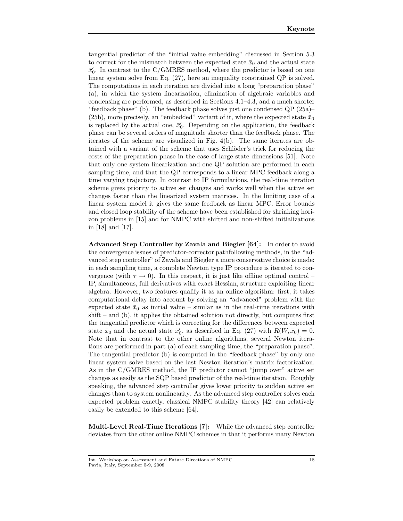tangential predictor of the "initial value embedding" discussed in Section 5.3 to correct for the mismatch between the expected state  $\bar{x}_0$  and the actual state  $\bar{x}'_0$ . In contrast to the C/GMRES method, where the predictor is based on one linear system solve from Eq. (27), here an inequality constrained QP is solved. The computations in each iteration are divided into a long "preparation phase" (a), in which the system linearization, elimination of algebraic variables and condensing are performed, as described in Sections 4.1–4.3, and a much shorter "feedback phase" (b). The feedback phase solves just one condensed  $QP(25a)$ (25b), more precisely, an "embedded" variant of it, where the expected state  $\bar{x}_0$ is replaced by the actual one,  $\bar{x}'_0$ . Depending on the application, the feedback phase can be several orders of magnitude shorter than the feedback phase. The iterates of the scheme are visualized in Fig. 4(b). The same iterates are obtained with a variant of the scheme that uses Schlöder's trick for reducing the costs of the preparation phase in the case of large state dimensions [51]. Note that only one system linearization and one QP solution are performed in each sampling time, and that the QP corresponds to a linear MPC feedback along a time varying trajectory. In contrast to IP formulations, the real-time iteration scheme gives priority to active set changes and works well when the active set changes faster than the linearized system matrices. In the limiting case of a linear system model it gives the same feedback as linear MPC. Error bounds and closed loop stability of the scheme have been established for shrinking horizon problems in [15] and for NMPC with shifted and non-shifted initializations in [18] and [17].

Advanced Step Controller by Zavala and Biegler [64]: In order to avoid the convergence issues of predictor-corrector pathfollowing methods, in the "advanced step controller" of Zavala and Biegler a more conservative choice is made: in each sampling time, a complete Newton type IP procedure is iterated to convergence (with  $\tau \to 0$ ). In this respect, it is just like offline optimal control – IP, simultaneous, full derivatives with exact Hessian, structure exploiting linear algebra. However, two features qualify it as an online algorithm: first, it takes computational delay into account by solving an "advanced" problem with the expected state  $\bar{x}_0$  as initial value – similar as in the real-time iterations with shift – and (b), it applies the obtained solution not directly, but computes first the tangential predictor which is correcting for the differences between expected state  $\overline{x}_0$  and the actual state  $\overline{x}'_0$ , as described in Eq. (27) with  $R(W, \overline{x}_0) = 0$ . Note that in contrast to the other online algorithms, several Newton iterations are performed in part (a) of each sampling time, the "preparation phase". The tangential predictor (b) is computed in the "feedback phase" by only one linear system solve based on the last Newton iteration's matrix factorization. As in the C/GMRES method, the IP predictor cannot "jump over" active set changes as easily as the SQP based predictor of the real-time iteration. Roughly speaking, the advanced step controller gives lower priority to sudden active set changes than to system nonlinearity. As the advanced step controller solves each expected problem exactly, classical NMPC stability theory [42] can relatively easily be extended to this scheme [64].

Multi-Level Real-Time Iterations [7]: While the advanced step controller deviates from the other online NMPC schemes in that it performs many Newton

Int. Workshop on Assessment and Future Directions of NMPC Pavia, Italy, September 5-9, 2008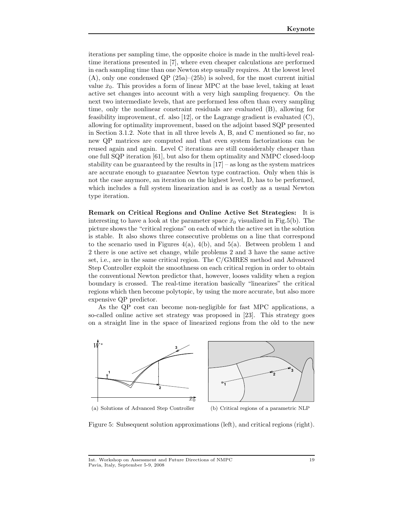iterations per sampling time, the opposite choice is made in the multi-level realtime iterations presented in [7], where even cheaper calculations are performed in each sampling time than one Newton step usually requires. At the lowest level  $(A)$ , only one condensed QP  $(25a)-(25b)$  is solved, for the most current initial value  $\bar{x}_0$ . This provides a form of linear MPC at the base level, taking at least active set changes into account with a very high sampling frequency. On the next two intermediate levels, that are performed less often than every sampling time, only the nonlinear constraint residuals are evaluated (B), allowing for feasibility improvement, cf. also [12], or the Lagrange gradient is evaluated  $(C)$ , allowing for optimality improvement, based on the adjoint based SQP presented in Section 3.1.2. Note that in all three levels A, B, and C mentioned so far, no new QP matrices are computed and that even system factorizations can be reused again and again. Level C iterations are still considerably cheaper than one full SQP iteration [61], but also for them optimality and NMPC closed-loop stability can be guaranteed by the results in  $[17]$  – as long as the system matrices are accurate enough to guarantee Newton type contraction. Only when this is not the case anymore, an iteration on the highest level, D, has to be performed, which includes a full system linearization and is as costly as a usual Newton type iteration.

Remark on Critical Regions and Online Active Set Strategies: It is interesting to have a look at the parameter space  $\bar{x}_0$  visualized in Fig.5(b). The picture shows the "critical regions" on each of which the active set in the solution is stable. It also shows three consecutive problems on a line that correspond to the scenario used in Figures 4(a), 4(b), and 5(a). Between problem 1 and 2 there is one active set change, while problems 2 and 3 have the same active set, i.e., are in the same critical region. The C/GMRES method and Advanced Step Controller exploit the smoothness on each critical region in order to obtain the conventional Newton predictor that, however, looses validity when a region boundary is crossed. The real-time iteration basically "linearizes" the critical regions which then become polytopic, by using the more accurate, but also more expensive QP predictor.

As the QP cost can become non-negligible for fast MPC applications, a so-called online active set strategy was proposed in [23]. This strategy goes on a straight line in the space of linearized regions from the old to the new



(a) Solutions of Advanced Step Controller

(b) Critical regions of a parametric NLP

Figure 5: Subsequent solution approximations (left), and critical regions (right).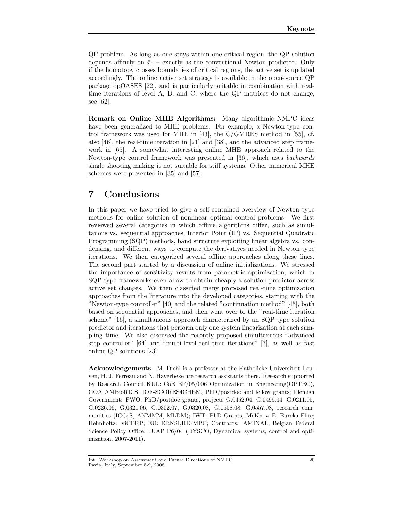QP problem. As long as one stays within one critical region, the QP solution depends affinely on  $\bar{x}_0$  – exactly as the conventional Newton predictor. Only if the homotopy crosses boundaries of critical regions, the active set is updated accordingly. The online active set strategy is available in the open-source QP package qpOASES [22], and is particularly suitable in combination with realtime iterations of level A, B, and C, where the QP matrices do not change, see [62].

Remark on Online MHE Algorithms: Many algorithmic NMPC ideas have been generalized to MHE problems. For example, a Newton-type control framework was used for MHE in [43], the C/GMRES method in [55], cf. also [46], the real-time iteration in [21] and [38], and the advanced step framework in [65]. A somewhat interesting online MHE approach related to the Newton-type control framework was presented in [36], which uses backwards single shooting making it not suitable for stiff systems. Other numerical MHE schemes were presented in [35] and [57].

### 7 Conclusions

In this paper we have tried to give a self-contained overview of Newton type methods for online solution of nonlinear optimal control problems. We first reviewed several categories in which offline algorithms differ, such as simultanous vs. sequential approaches, Interior Point (IP) vs. Sequential Quadratic Programming (SQP) methods, band structure exploiting linear algebra vs. condensing, and different ways to compute the derivatives needed in Newton type iterations. We then categorized several offline approaches along these lines. The second part started by a discussion of online initializations. We stressed the importance of sensitivity results from parametric optimization, which in SQP type frameworks even allow to obtain cheaply a solution predictor across active set changes. We then classified many proposed real-time optimization approaches from the literature into the developed categories, starting with the "Newton-type controller" [40] and the related "continuation method" [45], both based on sequential approaches, and then went over to the "real-time iteration scheme" [16], a simultaneous approach characterized by an SQP type solution predictor and iterations that perform only one system linearization at each sampling time. We also discussed the recently proposed simultaneous "advanced step controller" [64] and "multi-level real-time iterations" [7], as well as fast online QP solutions [23].

Acknowledgements M. Diehl is a professor at the Katholieke Universiteit Leuven, H. J. Ferreau and N. Haverbeke are research assistants there. Research supported by Research Council KUL: CoE EF/05/006 Optimization in Engineering(OPTEC), GOA AMBioRICS, IOF-SCORES4CHEM, PhD/postdoc and fellow grants; Flemish Government: FWO: PhD/postdoc grants, projects G.0452.04, G.0499.04, G.0211.05, G.0226.06, G.0321.06, G.0302.07, G.0320.08, G.0558.08, G.0557.08, research communities (ICCoS, ANMMM, MLDM); IWT: PhD Grants, McKnow-E, Eureka-Flite; Helmholtz: viCERP; EU: ERNSI,HD-MPC; Contracts: AMINAL; Belgian Federal Science Policy Office: IUAP P6/04 (DYSCO, Dynamical systems, control and optimization, 2007-2011).

Int. Workshop on Assessment and Future Directions of NMPC Pavia, Italy, September 5-9, 2008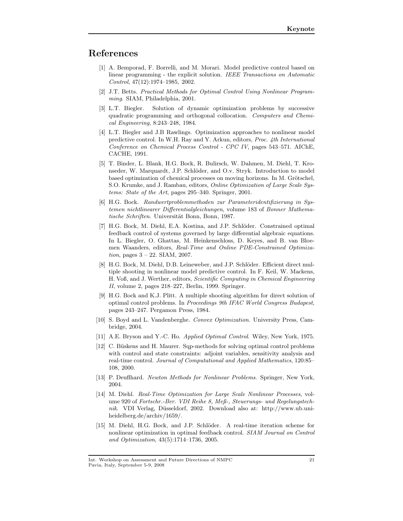## References

- [1] A. Bemporad, F. Borrelli, and M. Morari. Model predictive control based on linear programming - the explicit solution. IEEE Transactions on Automatic Control, 47(12):1974–1985, 2002.
- [2] J.T. Betts. Practical Methods for Optimal Control Using Nonlinear Programming. SIAM, Philadelphia, 2001.
- [3] L.T. Biegler. Solution of dynamic optimization problems by successive quadratic programming and orthogonal collocation. Computers and Chemical Engineering, 8:243–248, 1984.
- [4] L.T. Biegler and J.B Rawlings. Optimization approaches to nonlinear model predictive control. In W.H. Ray and Y. Arkun, editors, Proc. 4th International Conference on Chemical Process Control - CPC IV, pages 543–571. AIChE, CACHE, 1991.
- [5] T. Binder, L. Blank, H.G. Bock, R. Bulirsch, W. Dahmen, M. Diehl, T. Kronseder, W. Marquardt, J.P. Schlöder, and O.v. Stryk. Introduction to model based optimization of chemical processes on moving horizons. In M. Grötschel, S.O. Krumke, and J. Rambau, editors, Online Optimization of Large Scale Systems: State of the Art, pages 295–340. Springer, 2001.
- [6] H.G. Bock. Randwertproblemmethoden zur Parameteridentifizierung in Systemen nichtlinearer Differentialgleichungen, volume 183 of Bonner Mathematische Schriften. Universität Bonn, Bonn, 1987.
- [7] H.G. Bock, M. Diehl, E.A. Kostina, and J.P. Schlöder. Constrained optimal feedback control of systems governed by large differential algebraic equations. In L. Biegler, O. Ghattas, M. Heinkenschloss, D. Keyes, and B. van Bloemen Waanders, editors, Real-Time and Online PDE-Constrained Optimiza*tion*, pages  $3 - 22$ . SIAM, 2007.
- [8] H.G. Bock, M. Diehl, D.B. Leineweber, and J.P. Schlöder. Efficient direct multiple shooting in nonlinear model predictive control. In F. Keil, W. Mackens, H. Voß, and J. Werther, editors, Scientific Computing in Chemical Engineering II, volume 2, pages 218–227, Berlin, 1999. Springer.
- [9] H.G. Bock and K.J. Plitt. A multiple shooting algorithm for direct solution of optimal control problems. In Proceedings 9th IFAC World Congress Budapest, pages 243–247. Pergamon Press, 1984.
- [10] S. Boyd and L. Vandenberghe. Convex Optimization. University Press, Cambridge, 2004.
- [11] A.E. Bryson and Y.-C. Ho. Applied Optimal Control. Wiley, New York, 1975.
- [12] C. Büskens and H. Maurer. Sqp-methods for solving optimal control problems with control and state constraints: adjoint variables, sensitivity analysis and real-time control. Journal of Computational and Applied Mathematics, 120:85– 108, 2000.
- [13] P. Deuflhard. Newton Methods for Nonlinear Problems. Springer, New York, 2004.
- [14] M. Diehl. Real-Time Optimization for Large Scale Nonlinear Processes, volume 920 of Fortschr.-Ber. VDI Reihe 8, Meß-, Steuerungs- und Regelungstechnik. VDI Verlag, Düsseldorf, 2002. Download also at: http://www.ub.uniheidelberg.de/archiv/1659/.
- [15] M. Diehl, H.G. Bock, and J.P. Schlöder. A real-time iteration scheme for nonlinear optimization in optimal feedback control. SIAM Journal on Control and Optimization, 43(5):1714–1736, 2005.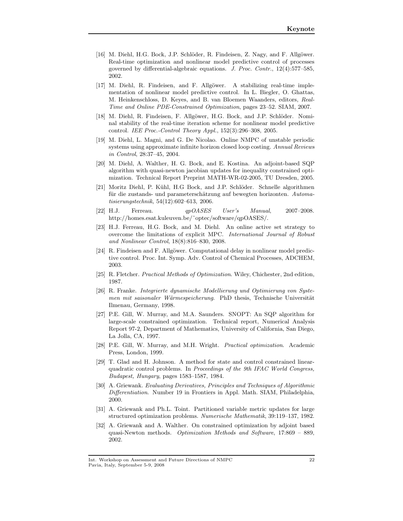- [16] M. Diehl, H.G. Bock, J.P. Schlöder, R. Findeisen, Z. Nagy, and F. Allgöwer. Real-time optimization and nonlinear model predictive control of processes governed by differential-algebraic equations. J. Proc. Contr., 12(4):577–585, 2002.
- [17] M. Diehl, R. Findeisen, and F. Allgöwer. A stabilizing real-time implementation of nonlinear model predictive control. In L. Biegler, O. Ghattas, M. Heinkenschloss, D. Keyes, and B. van Bloemen Waanders, editors, Real-Time and Online PDE-Constrained Optimization, pages 23–52. SIAM, 2007.
- [18] M. Diehl, R. Findeisen, F. Allgöwer, H.G. Bock, and J.P. Schlöder. Nominal stability of the real-time iteration scheme for nonlinear model predictive control. IEE Proc.-Control Theory Appl., 152(3):296–308, 2005.
- [19] M. Diehl, L. Magni, and G. De Nicolao. Online NMPC of unstable periodic systems using approximate infinite horizon closed loop costing. Annual Reviews in Control, 28:37–45, 2004.
- [20] M. Diehl, A. Walther, H. G. Bock, and E. Kostina. An adjoint-based SQP algorithm with quasi-newton jacobian updates for inequality constrained optimization. Technical Report Preprint MATH-WR-02-2005, TU Dresden, 2005.
- [21] Moritz Diehl, P. Kühl, H.G Bock, and J.P. Schlöder. Schnelle algorithmen für die zustands- und parameterschätzung auf bewegten horizonten. Automatisierungstechnik, 54(12):602–613, 2006.
- [22] H.J. Ferreau. qpOASES User's Manual, 2007–2008. http://homes.esat.kuleuven.be/˜optec/software/qpOASES/.
- [23] H.J. Ferreau, H.G. Bock, and M. Diehl. An online active set strategy to overcome the limitations of explicit MPC. International Journal of Robust and Nonlinear Control, 18(8):816–830, 2008.
- [24] R. Findeisen and F. Allgöwer. Computational delay in nonlinear model predictive control. Proc. Int. Symp. Adv. Control of Chemical Processes, ADCHEM, 2003.
- [25] R. Fletcher. Practical Methods of Optimization. Wiley, Chichester, 2nd edition, 1987.
- [26] R. Franke. Integrierte dynamische Modellierung und Optimierung von Systemen mit saisonaler Wärmespeicherung. PhD thesis, Technische Universität Ilmenau, Germany, 1998.
- [27] P.E. Gill, W. Murray, and M.A. Saunders. SNOPT: An SQP algorithm for large-scale constrained optimization. Technical report, Numerical Analysis Report 97-2, Department of Mathematics, University of California, San Diego, La Jolla, CA, 1997.
- [28] P.E. Gill, W. Murray, and M.H. Wright. Practical optimization. Academic Press, London, 1999.
- [29] T. Glad and H. Johnson. A method for state and control constrained linearquadratic control problems. In Proceedings of the 9th IFAC World Congress, Budapest, Hungary, pages 1583–1587, 1984.
- [30] A. Griewank. Evaluating Derivatives, Principles and Techniques of Algorithmic Differentiation. Number 19 in Frontiers in Appl. Math. SIAM, Philadelphia, 2000.
- [31] A. Griewank and Ph.L. Toint. Partitioned variable metric updates for large structured optimization problems. Numerische Mathematik, 39:119–137, 1982.
- [32] A. Griewank and A. Walther. On constrained optimization by adjoint based quasi-Newton methods. Optimization Methods and Software, 17:869 – 889, 2002.

Int. Workshop on Assessment and Future Directions of NMPC Pavia, Italy, September 5-9, 2008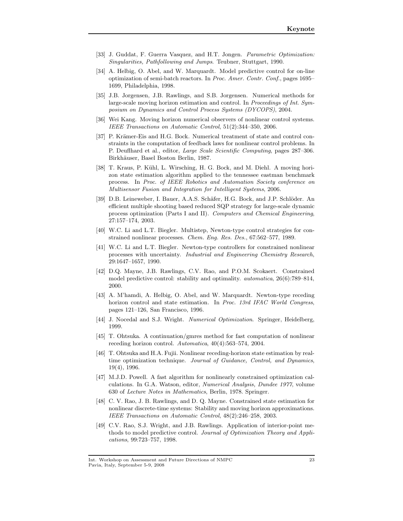- [33] J. Guddat, F. Guerra Vasquez, and H.T. Jongen. Parametric Optimization: Singularities, Pathfollowing and Jumps. Teubner, Stuttgart, 1990.
- [34] A. Helbig, O. Abel, and W. Marquardt. Model predictive control for on-line optimization of semi-batch reactors. In Proc. Amer. Contr. Conf., pages 1695– 1699, Philadelphia, 1998.
- [35] J.B. Jorgensen, J.B. Rawlings, and S.B. Jorgensen. Numerical methods for large-scale moving horizon estimation and control. In Proceedings of Int. Symposium on Dynamics and Control Process Systems (DYCOPS), 2004.
- [36] Wei Kang. Moving horizon numerical observers of nonlinear control systems. IEEE Transactions on Automatic Control, 51(2):344–350, 2006.
- [37] P. Krämer-Eis and H.G. Bock. Numerical treatment of state and control constraints in the computation of feedback laws for nonlinear control problems. In P. Deuflhard et al., editor, Large Scale Scientific Computing, pages 287–306. Birkhäuser, Basel Boston Berlin, 1987.
- [38] T. Kraus, P. Kühl, L. Wirsching, H. G. Bock, and M. Diehl. A moving horizon state estimation algorithm applied to the tennessee eastman benchmark process. In Proc. of IEEE Robotics and Automation Society conference on Multisensor Fusion and Integration for Intelligent Systems, 2006.
- [39] D.B. Leineweber, I. Bauer, A.A.S. Schäfer, H.G. Bock, and J.P. Schlöder. An efficient multiple shooting based reduced SQP strategy for large-scale dynamic process optimization (Parts I and II). Computers and Chemical Engineering, 27:157–174, 2003.
- [40] W.C. Li and L.T. Biegler. Multistep, Newton-type control strategies for constrained nonlinear processes. Chem. Eng. Res. Des., 67:562–577, 1989.
- [41] W.C. Li and L.T. Biegler. Newton-type controllers for constrained nonlinear processes with uncertainty. Industrial and Engineering Chemistry Research, 29:1647–1657, 1990.
- [42] D.Q. Mayne, J.B. Rawlings, C.V. Rao, and P.O.M. Scokaert. Constrained model predictive control: stability and optimality. automatica, 26(6):789–814, 2000.
- [43] A. M'hamdi, A. Helbig, O. Abel, and W. Marquardt. Newton-type receding horizon control and state estimation. In Proc. 13rd IFAC World Congress, pages 121–126, San Francisco, 1996.
- [44] J. Nocedal and S.J. Wright. Numerical Optimization. Springer, Heidelberg, 1999.
- [45] T. Ohtsuka. A continuation/gmres method for fast computation of nonlinear receding horizon control. Automatica, 40(4):563–574, 2004.
- [46] T. Ohtsuka and H.A. Fujii. Nonlinear receding-horizon state estimation by realtime optimization technique. Journal of Guidance, Control, and Dynamics, 19(4), 1996.
- [47] M.J.D. Powell. A fast algorithm for nonlinearly constrained optimization calculations. In G.A. Watson, editor, Numerical Analysis, Dundee 1977, volume 630 of Lecture Notes in Mathematics, Berlin, 1978. Springer.
- [48] C. V. Rao, J. B. Rawlings, and D. Q. Mayne. Constrained state estimation for nonlinear discrete-time systems: Stability and moving horizon approximations. IEEE Transactions on Automatic Control, 48(2):246–258, 2003.
- [49] C.V. Rao, S.J. Wright, and J.B. Rawlings. Application of interior-point methods to model predictive control. Journal of Optimization Theory and Applications, 99:723–757, 1998.

Int. Workshop on Assessment and Future Directions of NMPC Pavia, Italy, September 5-9, 2008